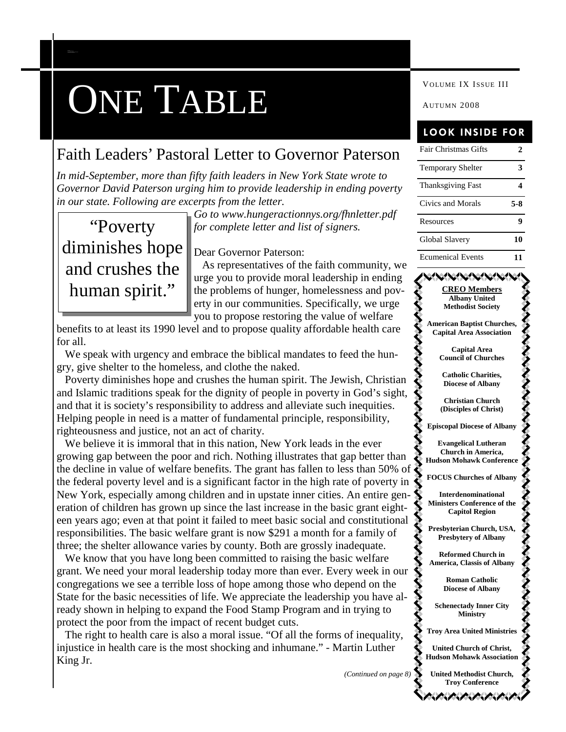# **ONE TABLE WOLUME IX ISSUE III**

### Faith Leaders' Pastoral Letter to Governor Paterson

*In mid-September, more than fifty faith leaders in New York State wrote to Governor David Paterson urging him to provide leadership in ending poverty in our state. Following are excerpts from the letter.*

## "Poverty diminishes hope and crushes the human spirit."

*C AP ITAL REG ION E C UMEN ICA L ORGA NIZA TION*

*Go to www.hungeractionnys.org/fhnletter.pdf for complete letter and list of signers.*

Dear Governor Paterson:

As representatives of the faith community, we urge you to provide moral leadership in ending the problems of hunger, homelessness and poverty in our communities. Specifically, we urge you to propose restoring the value of welfare

benefits to at least its 1990 level and to propose quality affordable health care for all.

We speak with urgency and embrace the biblical mandates to feed the hungry, give shelter to the homeless, and clothe the naked.

Poverty diminishes hope and crushes the human spirit. The Jewish, Christian and Islamic traditions speak for the dignity of people in poverty in God's sight, and that it is society's responsibility to address and alleviate such inequities. Helping people in need is a matter of fundamental principle, responsibility, righteousness and justice, not an act of charity.

We believe it is immoral that in this nation, New York leads in the ever growing gap between the poor and rich. Nothing illustrates that gap better than the decline in value of welfare benefits. The grant has fallen to less than 50% of the federal poverty level and is a significant factor in the high rate of poverty in New York, especially among children and in upstate inner cities. An entire generation of children has grown up since the last increase in the basic grant eighteen years ago; even at that point it failed to meet basic social and constitutional responsibilities. The basic welfare grant is now \$291 a month for a family of three; the shelter allowance varies by county. Both are grossly inadequate.

We know that you have long been committed to raising the basic welfare grant. We need your moral leadership today more than ever. Every week in our congregations we see a terrible loss of hope among those who depend on the State for the basic necessities of life. We appreciate the leadership you have already shown in helping to expand the Food Stamp Program and in trying to protect the poor from the impact of recent budget cuts.

The right to health care is also a moral issue. "Of all the forms of inequality, injustice in health care is the most shocking and inhumane." - Martin Luther King Jr.

*(Continued on page 8)*

### **LOOK INSIDE FOR**

| <b>Fair Christmas Gifts</b> |     |
|-----------------------------|-----|
| <b>Temporary Shelter</b>    |     |
| <b>Thanksgiving Fast</b>    |     |
| Civics and Morals           | 5-8 |
| Resources                   |     |
| Global Slavery              | 10  |
| <b>Ecumenical Events</b>    |     |

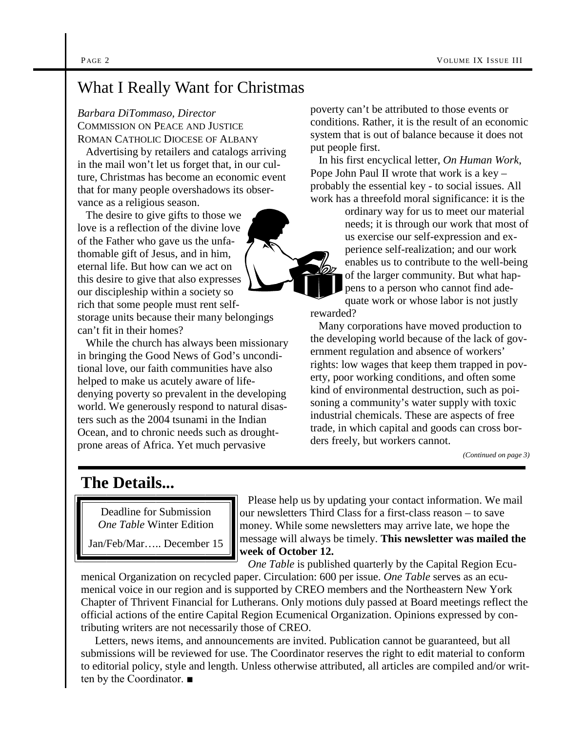### What I Really Want for Christmas

*Barbara DiTommaso, Director*

COMMISSION ON PEACE AND JUSTICE ROMAN CATHOLIC DIOCESE OF ALBANY

Advertising by retailers and catalogs arriving in the mail won't let us forget that, in our culture, Christmas has become an economic event that for many people overshadows its observance as a religious season.

The desire to give gifts to those we love is a reflection of the divine love of the Father who gave us the unfathomable gift of Jesus, and in him, eternal life. But how can we act on this desire to give that also expresses our discipleship within a society so rich that some people must rent selfstorage units because their many belongings can't fit in their homes?

While the church has always been missionary in bringing the Good News of God's unconditional love, our faith communities have also helped to make us acutely aware of lifedenying poverty so prevalent in the developing world. We generously respond to natural disasters such as the 2004 tsunami in the Indian Ocean, and to chronic needs such as droughtprone areas of Africa. Yet much pervasive

poverty can't be attributed to those events or conditions. Rather, it is the result of an economic system that is out of balance because it does not put people first.

In his first encyclical letter, *On Human Work*, Pope John Paul II wrote that work is a key – probably the essential key - to social issues. All work has a threefold moral significance: it is the

> ordinary way for us to meet our material needs; it is through our work that most of us exercise our self-expression and experience self-realization; and our work enables us to contribute to the well-being of the larger community. But what happens to a person who cannot find ade-

quate work or whose labor is not justly rewarded?

Many corporations have moved production to the developing world because of the lack of government regulation and absence of workers' rights: low wages that keep them trapped in poverty, poor working conditions, and often some kind of environmental destruction, such as poisoning a community's water supply with toxic industrial chemicals. These are aspects of free trade, in which capital and goods can cross borders freely, but workers cannot.

*(Continued on page 3)*

### **The Details...**

Deadline for Submission *One Table* Winter Edition

Jan/Feb/Mar….. December 15

Please help us by updating your contact information. We mail our newsletters Third Class for a first-class reason – to save money. While some newsletters may arrive late, we hope the message will always be timely. **This newsletter was mailed the week of October 12.**

*One Table* is published quarterly by the Capital Region Ecu-

menical Organization on recycled paper. Circulation: 600 per issue. *One Table* serves as an ecumenical voice in our region and is supported by CREO members and the Northeastern New York Chapter of Thrivent Financial for Lutherans. Only motions duly passed at Board meetings reflect the official actions of the entire Capital Region Ecumenical Organization. Opinions expressed by contributing writers are not necessarily those of CREO.

Letters, news items, and announcements are invited. Publication cannot be guaranteed, but all submissions will be reviewed for use. The Coordinator reserves the right to edit material to conform to editorial policy, style and length. Unless otherwise attributed, all articles are compiled and/or written by the Coordinator. ■

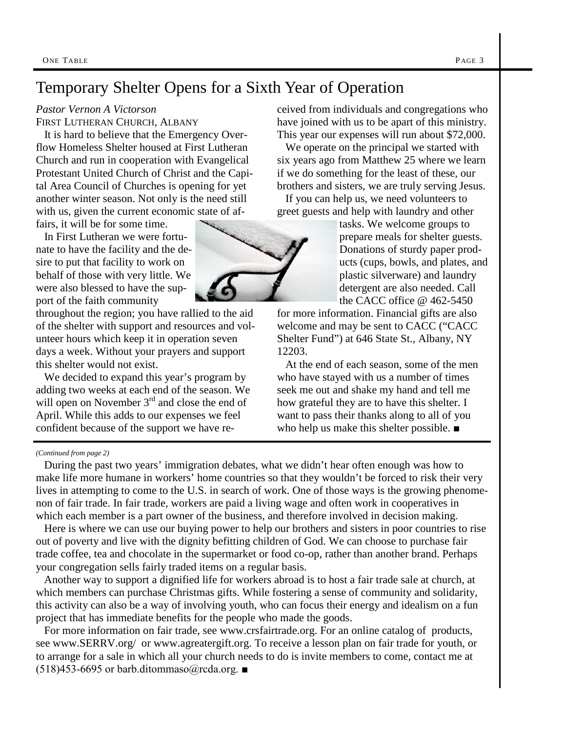### Temporary Shelter Opens for a Sixth Year of Operation

#### *Pastor Vernon A Victorson*

FIRST LUTHERAN CHURCH, ALBANY

It is hard to believe that the Emergency Overflow Homeless Shelter housed at First Lutheran Church and run in cooperation with Evangelical Protestant United Church of Christ and the Capital Area Council of Churches is opening for yet another winter season. Not only is the need still with us, given the current economic state of af-

fairs, it will be for some time.

In First Lutheran we were fortunate to have the facility and the desire to put that facility to work on behalf of those with very little. We were also blessed to have the support of the faith community

throughout the region; you have rallied to the aid of the shelter with support and resources and volunteer hours which keep it in operation seven days a week. Without your prayers and support this shelter would not exist.

We decided to expand this year's program by adding two weeks at each end of the season. We will open on November  $3<sup>rd</sup>$  and close the end of April. While this adds to our expenses we feel confident because of the support we have received from individuals and congregations who have joined with us to be apart of this ministry. This year our expenses will run about \$72,000.

We operate on the principal we started with six years ago from Matthew 25 where we learn if we do something for the least of these, our brothers and sisters, we are truly serving Jesus.

If you can help us, we need volunteers to greet guests and help with laundry and other

> tasks. We welcome groups to prepare meals for shelter guests. Donations of sturdy paper products (cups, bowls, and plates, and plastic silverware) and laundry detergent are also needed. Call the CACC office @ 462-5450

for more information. Financial gifts are also welcome and may be sent to CACC ("CACC Shelter Fund") at 646 State St., Albany, NY 12203.

At the end of each season, some of the men who have stayed with us a number of times seek me out and shake my hand and tell me how grateful they are to have this shelter. I want to pass their thanks along to all of you who help us make this shelter possible. *■*

#### *(Continued from page 2)*

During the past two years' immigration debates, what we didn't hear often enough was how to make life more humane in workers' home countries so that they wouldn't be forced to risk their very lives in attempting to come to the U.S. in search of work. One of those ways is the growing phenomenon of fair trade. In fair trade, workers are paid a living wage and often work in cooperatives in which each member is a part owner of the business, and therefore involved in decision making.

Here is where we can use our buying power to help our brothers and sisters in poor countries to rise out of poverty and live with the dignity befitting children of God. We can choose to purchase fair trade coffee, tea and chocolate in the supermarket or food co-op, rather than another brand. Perhaps your congregation sells fairly traded items on a regular basis.

Another way to support a dignified life for workers abroad is to host a fair trade sale at church, at which members can purchase Christmas gifts. While fostering a sense of community and solidarity, this activity can also be a way of involving youth, who can focus their energy and idealism on a fun project that has immediate benefits for the people who made the goods.

For more information on fair trade, see www.crsfairtrade.org. For an online catalog of products, see www.SERRV.org/ or www.agreatergift.org. To receive a lesson plan on fair trade for youth, or to arrange for a sale in which all your church needs to do is invite members to come, contact me at  $(518)453-6695$  or barb.ditommaso@rcda.org.  $\blacksquare$ 

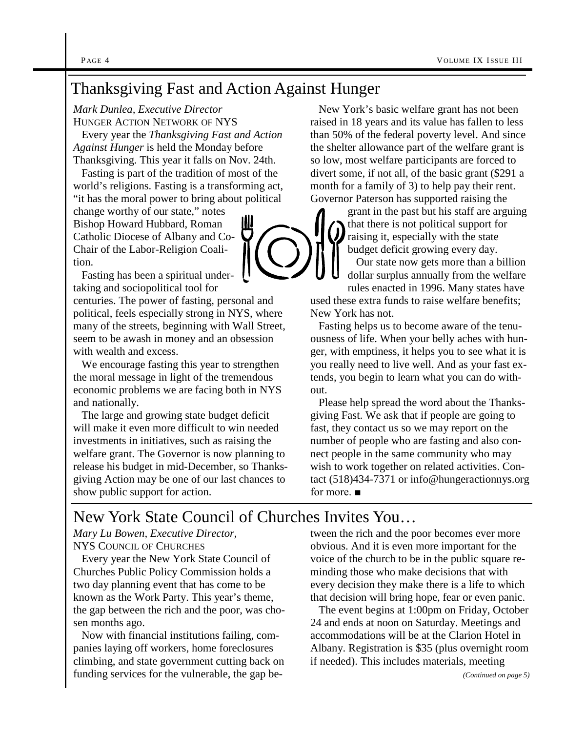### Thanksgiving Fast and Action Against Hunger

*Mark Dunlea, Executive Director*

HUNGER ACTION NETWORK OF NYS Every year the *Thanksgiving Fast and Action Against Hunger* is held the Monday before Thanksgiving. This year it falls on Nov. 24th.

Fasting is part of the tradition of most of the world's religions. Fasting is a transforming act, "it has the moral power to bring about political

change worthy of our state," notes Bishop Howard Hubbard, Roman Catholic Diocese of Albany and Co-Chair of the Labor-Religion Coalition.

Fasting has been a spiritual undertaking and sociopolitical tool for

centuries. The power of fasting, personal and political, feels especially strong in NYS, where many of the streets, beginning with Wall Street, seem to be awash in money and an obsession with wealth and excess.

We encourage fasting this year to strengthen the moral message in light of the tremendous economic problems we are facing both in NYS and nationally.

The large and growing state budget deficit will make it even more difficult to win needed investments in initiatives, such as raising the welfare grant. The Governor is now planning to release his budget in mid-December, so Thanksgiving Action may be one of our last chances to show public support for action.

New York's basic welfare grant has not been raised in 18 years and its value has fallen to less than 50% of the federal poverty level. And since the shelter allowance part of the welfare grant is so low, most welfare participants are forced to divert some, if not all, of the basic grant (\$291 a month for a family of 3) to help pay their rent. Governor Paterson has supported raising the

grant in the past but his staff are arguing that there is not political support for raising it, especially with the state budget deficit growing every day.

Our state now gets more than a billion dollar surplus annually from the welfare rules enacted in 1996. Many states have

used these extra funds to raise welfare benefits; New York has not.

Fasting helps us to become aware of the tenuousness of life. When your belly aches with hunger, with emptiness, it helps you to see what it is you really need to live well. And as your fast extends, you begin to learn what you can do without.

Please help spread the word about the Thanksgiving Fast. We ask that if people are going to fast, they contact us so we may report on the number of people who are fasting and also connect people in the same community who may wish to work together on related activities. Contact (518)434-7371 or info@hungeractionnys.org for more. ■

### New York State Council of Churches Invites You…

*Mary Lu Bowen, Executive Director,* NYS COUNCIL OF CHURCHES

Every year the New York State Council of Churches Public Policy Commission holds a two day planning event that has come to be known as the Work Party. This year's theme, the gap between the rich and the poor, was chosen months ago.

Now with financial institutions failing, companies laying off workers, home foreclosures climbing, and state government cutting back on funding services for the vulnerable, the gap between the rich and the poor becomes ever more obvious. And it is even more important for the voice of the church to be in the public square reminding those who make decisions that with every decision they make there is a life to which that decision will bring hope, fear or even panic.

The event begins at 1:00pm on Friday, October 24 and ends at noon on Saturday. Meetings and accommodations will be at the Clarion Hotel in Albany. Registration is \$35 (plus overnight room if needed). This includes materials, meeting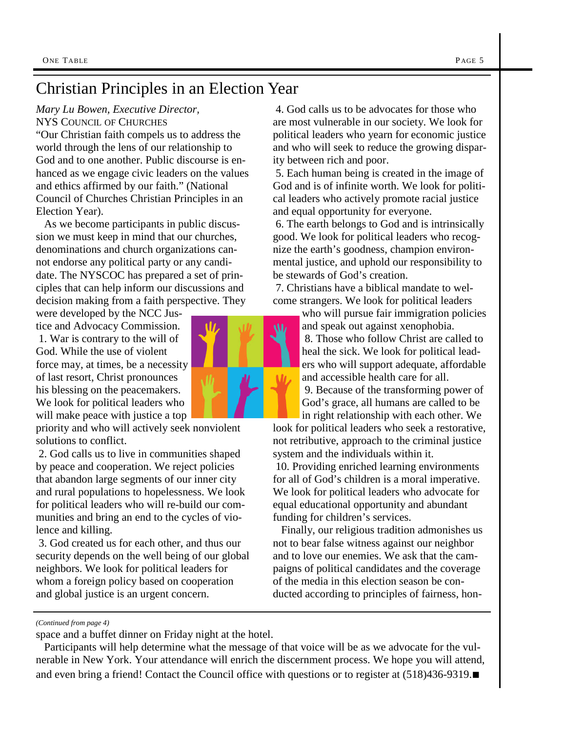#### *Mary Lu Bowen, Executive Director,* NYS COUNCIL OF CHURCHES

"Our Christian faith compels us to address the world through the lens of our relationship to God and to one another. Public discourse is enhanced as we engage civic leaders on the values and ethics affirmed by our faith." (National Council of Churches Christian Principles in an Election Year).

As we become participants in public discussion we must keep in mind that our churches, denominations and church organizations cannot endorse any political party or any candidate. The NYSCOC has prepared a set of principles that can help inform our discussions and decision making from a faith perspective. They

were developed by the NCC Justice and Advocacy Commission. 1. War is contrary to the will of God. While the use of violent force may, at times, be a necessity of last resort, Christ pronounces his blessing on the peacemakers. We look for political leaders who will make peace with justice a top

priority and who will actively seek nonviolent solutions to conflict.

2. God calls us to live in communities shaped by peace and cooperation. We reject policies that abandon large segments of our inner city and rural populations to hopelessness. We look for political leaders who will re-build our communities and bring an end to the cycles of violence and killing.

3. God created us for each other, and thus our security depends on the well being of our global neighbors. We look for political leaders for whom a foreign policy based on cooperation and global justice is an urgent concern.

are most vulnerable in our society. We look for political leaders who yearn for economic justice and who will seek to reduce the growing disparity between rich and poor. 5. Each human being is created in the image of

4. God calls us to be advocates for those who

God and is of infinite worth. We look for political leaders who actively promote racial justice and equal opportunity for everyone.

6. The earth belongs to God and is intrinsically good. We look for political leaders who recognize the earth's goodness, champion environmental justice, and uphold our responsibility to be stewards of God's creation.

7. Christians have a biblical mandate to welcome strangers. We look for political leaders

> who will pursue fair immigration policies and speak out against xenophobia. 8. Those who follow Christ are called to heal the sick. We look for political leaders who will support adequate, affordable and accessible health care for all.

9. Because of the transforming power of God's grace, all humans are called to be in right relationship with each other. We

look for political leaders who seek a restorative, not retributive, approach to the criminal justice system and the individuals within it.

10. Providing enriched learning environments for all of God's children is a moral imperative. We look for political leaders who advocate for equal educational opportunity and abundant funding for children's services.

Finally, our religious tradition admonishes us not to bear false witness against our neighbor and to love our enemies. We ask that the campaigns of political candidates and the coverage of the media in this election season be conducted according to principles of fairness, hon-

*(Continued from page 4)*

space and a buffet dinner on Friday night at the hotel.

Participants will help determine what the message of that voice will be as we advocate for the vulnerable in New York. Your attendance will enrich the discernment process. We hope you will attend, and even bring a friend! Contact the Council office with questions or to register at (518)436-9319.*■*

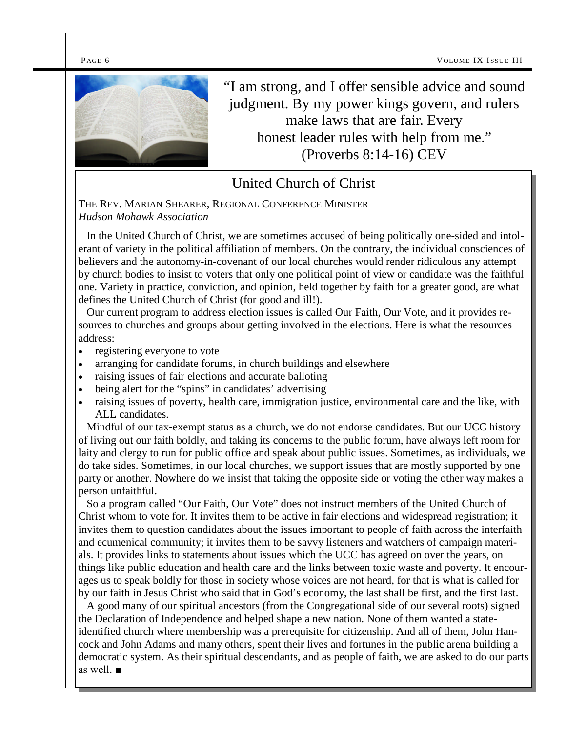

"I am strong, and I offer sensible advice and sound judgment. By my power kings govern, and rulers make laws that are fair. Every honest leader rules with help from me." (Proverbs 8:14-16) CEV

### United Church of Christ

THE REV. MARIAN SHEARER, REGIONAL CONFERENCE MINISTER *Hudson Mohawk Association*

In the United Church of Christ, we are sometimes accused of being politically one-sided and intolerant of variety in the political affiliation of members. On the contrary, the individual consciences of believers and the autonomy-in-covenant of our local churches would render ridiculous any attempt by church bodies to insist to voters that only one political point of view or candidate was the faithful one. Variety in practice, conviction, and opinion, held together by faith for a greater good, are what defines the United Church of Christ (for good and ill!).

Our current program to address election issues is called Our Faith, Our Vote, and it provides resources to churches and groups about getting involved in the elections. Here is what the resources address:

- registering everyone to vote
- arranging for candidate forums, in church buildings and elsewhere
- raising issues of fair elections and accurate balloting
- being alert for the "spins" in candidates' advertising
- raising issues of poverty, health care, immigration justice, environmental care and the like, with ALL candidates.

Mindful of our tax-exempt status as a church, we do not endorse candidates. But our UCC history of living out our faith boldly, and taking its concerns to the public forum, have always left room for laity and clergy to run for public office and speak about public issues. Sometimes, as individuals, we do take sides. Sometimes, in our local churches, we support issues that are mostly supported by one party or another. Nowhere do we insist that taking the opposite side or voting the other way makes a person unfaithful.

So a program called "Our Faith, Our Vote" does not instruct members of the United Church of Christ whom to vote for. It invites them to be active in fair elections and widespread registration; it invites them to question candidates about the issues important to people of faith across the interfaith and ecumenical community; it invites them to be savvy listeners and watchers of campaign materials. It provides links to statements about issues which the UCC has agreed on over the years, on things like public education and health care and the links between toxic waste and poverty. It encourages us to speak boldly for those in society whose voices are not heard, for that is what is called for by our faith in Jesus Christ who said that in God's economy, the last shall be first, and the first last.

A good many of our spiritual ancestors (from the Congregational side of our several roots) signed the Declaration of Independence and helped shape a new nation. None of them wanted a stateidentified church where membership was a prerequisite for citizenship. And all of them, John Hancock and John Adams and many others, spent their lives and fortunes in the public arena building a democratic system. As their spiritual descendants, and as people of faith, we are asked to do our parts as well. ■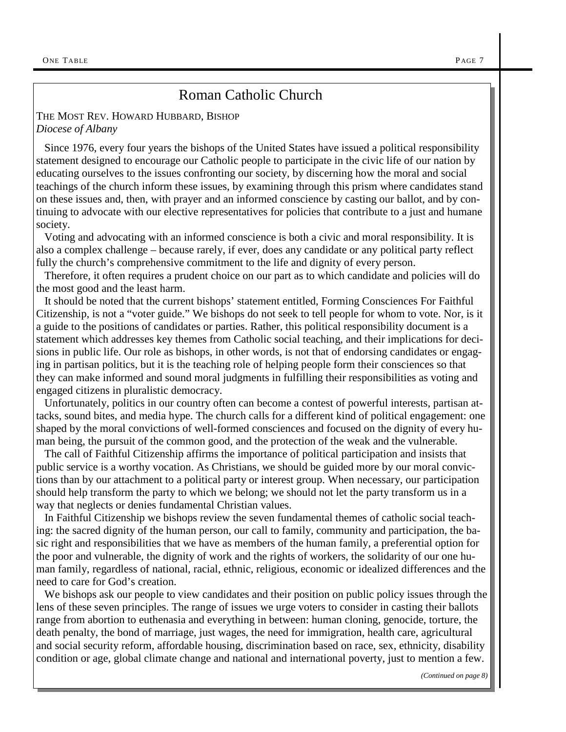### Roman Catholic Church

#### THE MOST REV. HOWARD HUBBARD, BISHOP *Diocese of Albany*

Since 1976, every four years the bishops of the United States have issued a political responsibility statement designed to encourage our Catholic people to participate in the civic life of our nation by educating ourselves to the issues confronting our society, by discerning how the moral and social teachings of the church inform these issues, by examining through this prism where candidates stand on these issues and, then, with prayer and an informed conscience by casting our ballot, and by continuing to advocate with our elective representatives for policies that contribute to a just and humane society.

Voting and advocating with an informed conscience is both a civic and moral responsibility. It is also a complex challenge – because rarely, if ever, does any candidate or any political party reflect fully the church's comprehensive commitment to the life and dignity of every person.

Therefore, it often requires a prudent choice on our part as to which candidate and policies will do the most good and the least harm.

It should be noted that the current bishops' statement entitled, Forming Consciences For Faithful Citizenship, is not a "voter guide." We bishops do not seek to tell people for whom to vote. Nor, is it a guide to the positions of candidates or parties. Rather, this political responsibility document is a statement which addresses key themes from Catholic social teaching, and their implications for decisions in public life. Our role as bishops, in other words, is not that of endorsing candidates or engaging in partisan politics, but it is the teaching role of helping people form their consciences so that they can make informed and sound moral judgments in fulfilling their responsibilities as voting and engaged citizens in pluralistic democracy.

Unfortunately, politics in our country often can become a contest of powerful interests, partisan attacks, sound bites, and media hype. The church calls for a different kind of political engagement: one shaped by the moral convictions of well-formed consciences and focused on the dignity of every human being, the pursuit of the common good, and the protection of the weak and the vulnerable.

The call of Faithful Citizenship affirms the importance of political participation and insists that public service is a worthy vocation. As Christians, we should be guided more by our moral convictions than by our attachment to a political party or interest group. When necessary, our participation should help transform the party to which we belong; we should not let the party transform us in a way that neglects or denies fundamental Christian values.

In Faithful Citizenship we bishops review the seven fundamental themes of catholic social teaching: the sacred dignity of the human person, our call to family, community and participation, the basic right and responsibilities that we have as members of the human family, a preferential option for the poor and vulnerable, the dignity of work and the rights of workers, the solidarity of our one human family, regardless of national, racial, ethnic, religious, economic or idealized differences and the need to care for God's creation.

We bishops ask our people to view candidates and their position on public policy issues through the lens of these seven principles. The range of issues we urge voters to consider in casting their ballots range from abortion to euthenasia and everything in between: human cloning, genocide, torture, the death penalty, the bond of marriage, just wages, the need for immigration, health care, agricultural and social security reform, affordable housing, discrimination based on race, sex, ethnicity, disability condition or age, global climate change and national and international poverty, just to mention a few.

*(Continued on page 8)*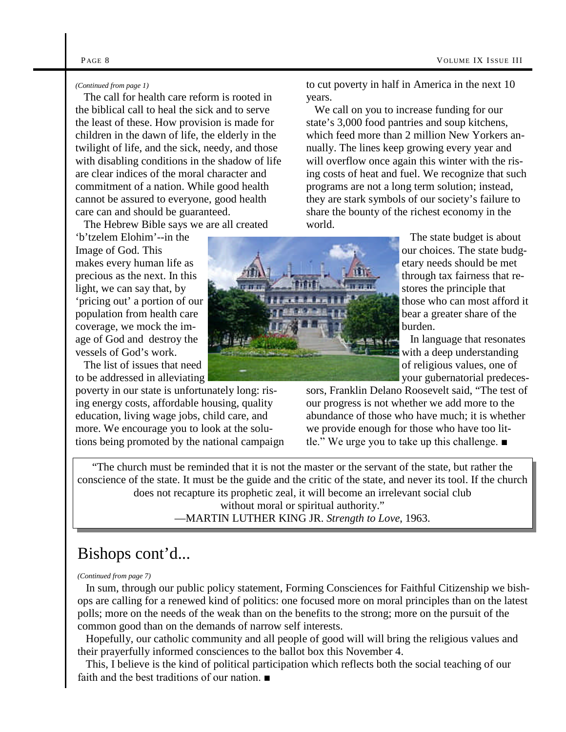#### *(Continued from page 1)*

The call for health care reform is rooted in the biblical call to heal the sick and to serve the least of these. How provision is made for children in the dawn of life, the elderly in the twilight of life, and the sick, needy, and those with disabling conditions in the shadow of life are clear indices of the moral character and commitment of a nation. While good health cannot be assured to everyone, good health care can and should be guaranteed.

The Hebrew Bible says we are all created

'b'tzelem Elohim'--in the Image of God. This makes every human life as precious as the next. In this light, we can say that, by 'pricing out' a portion of our population from health care coverage, we mock the image of God and destroy the vessels of God's work.

The list of issues that need to be addressed in alleviating

poverty in our state is unfortunately long: rising energy costs, affordable housing, quality education, living wage jobs, child care, and more. We encourage you to look at the solutions being promoted by the national campaign to cut poverty in half in America in the next 10 years.

We call on you to increase funding for our state's 3,000 food pantries and soup kitchens, which feed more than 2 million New Yorkers annually. The lines keep growing every year and will overflow once again this winter with the rising costs of heat and fuel. We recognize that such programs are not a long term solution; instead, they are stark symbols of our society's failure to share the bounty of the richest economy in the world.

> The state budget is about our choices. The state budgetary needs should be met through tax fairness that restores the principle that those who can most afford it bear a greater share of the burden.

> In language that resonates with a deep understanding of religious values, one of your gubernatorial predeces-

sors, Franklin Delano Roosevelt said, "The test of our progress is not whether we add more to the abundance of those who have much; it is whether we provide enough for those who have too little." We urge you to take up this challenge. ■

"The church must be reminded that it is not the master or the servant of the state, but rather the conscience of the state. It must be the guide and the critic of the state, and never its tool. If the church does not recapture its prophetic zeal, it will become an irrelevant social club without moral or spiritual authority."

—MARTIN LUTHER KING JR. *Strength to Love*, 1963.

### Bishops cont'd...

#### *(Continued from page 7)*

In sum, through our public policy statement, Forming Consciences for Faithful Citizenship we bishops are calling for a renewed kind of politics: one focused more on moral principles than on the latest polls; more on the needs of the weak than on the benefits to the strong; more on the pursuit of the common good than on the demands of narrow self interests.

Hopefully, our catholic community and all people of good will will bring the religious values and their prayerfully informed consciences to the ballot box this November 4.

This, I believe is the kind of political participation which reflects both the social teaching of our faith and the best traditions of our nation. ■

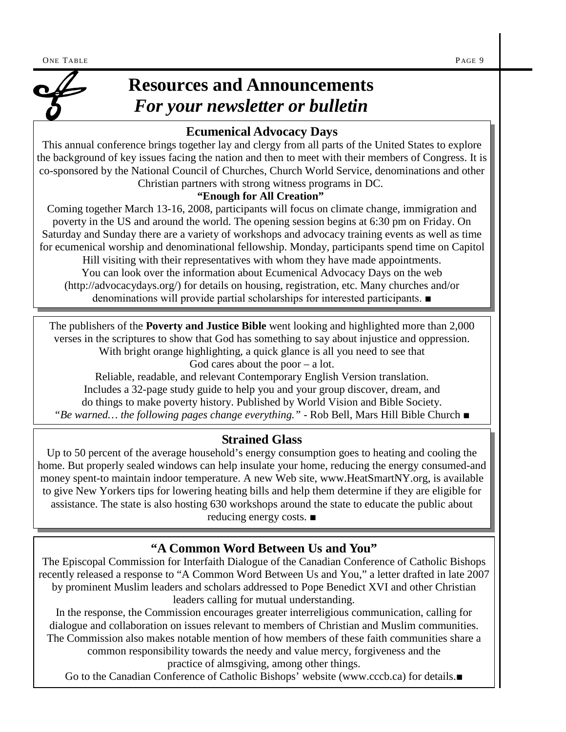

## **Resources and Announcements** *For your newsletter or bulletin*

### **Ecumenical Advocacy Days**

This annual conference brings together lay and clergy from all parts of the United States to explore the background of key issues facing the nation and then to meet with their members of Congress. It is co-sponsored by the National Council of Churches, Church World Service, denominations and other Christian partners with strong witness programs in DC.

### **"Enough for All Creation"**

Coming together March 13-16, 2008, participants will focus on climate change, immigration and poverty in the US and around the world. The opening session begins at 6:30 pm on Friday. On Saturday and Sunday there are a variety of workshops and advocacy training events as well as time for ecumenical worship and denominational fellowship. Monday, participants spend time on Capitol

Hill visiting with their representatives with whom they have made appointments. You can look over the information about Ecumenical Advocacy Days on the web (http://advocacydays.org/) for details on housing, registration, etc. Many churches and/or denominations will provide partial scholarships for interested participants. ■

The publishers of the **Poverty and Justice Bible** went looking and highlighted more than 2,000 verses in the scriptures to show that God has something to say about injustice and oppression. With bright orange highlighting, a quick glance is all you need to see that

God cares about the poor  $-$  a lot.

Reliable, readable, and relevant Contemporary English Version translation. Includes a 32-page study guide to help you and your group discover, dream, and do things to make poverty history. Published by World Vision and Bible Society. *"Be warned… the following pages change everything."* - Rob Bell, Mars Hill Bible Church *■*

### **Strained Glass**

Up to 50 percent of the average household's energy consumption goes to heating and cooling the home. But properly sealed windows can help insulate your home, reducing the energy consumed-and money spent-to maintain indoor temperature. A new Web site, www.HeatSmartNY.org, is available to give New Yorkers tips for lowering heating bills and help them determine if they are eligible for assistance. The state is also hosting 630 workshops around the state to educate the public about reducing energy costs. *■*

## **"A Common Word Between Us and You"**

The Episcopal Commission for Interfaith Dialogue of the Canadian Conference of Catholic Bishops recently released a response to "A Common Word Between Us and You," a letter drafted in late 2007 by prominent Muslim leaders and scholars addressed to Pope Benedict XVI and other Christian leaders calling for mutual understanding.

In the response, the Commission encourages greater interreligious communication, calling for dialogue and collaboration on issues relevant to members of Christian and Muslim communities. The Commission also makes notable mention of how members of these faith communities share a common responsibility towards the needy and value mercy, forgiveness and the

practice of almsgiving, among other things.

Go to the Canadian Conference of Catholic Bishops' website (www.cccb.ca) for details.*■*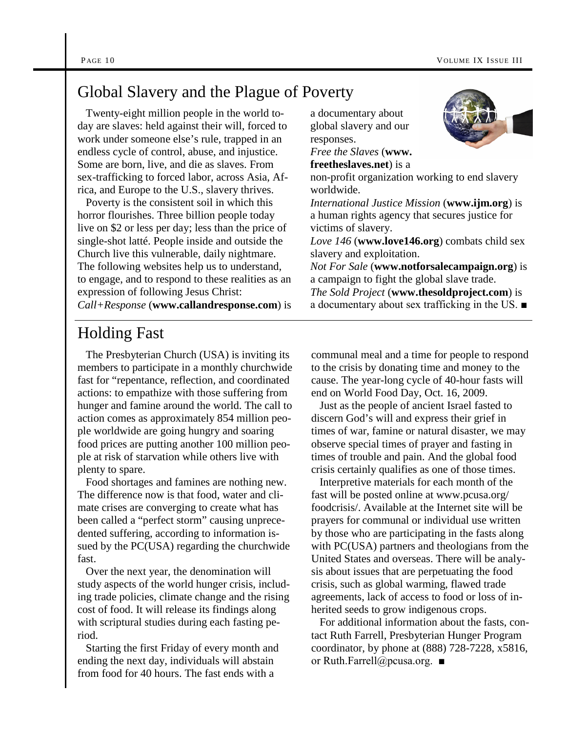### Global Slavery and the Plague of Poverty

Twenty-eight million people in the world today are slaves: held against their will, forced to work under someone else's rule, trapped in an endless cycle of control, abuse, and injustice. Some are born, live, and die as slaves. From sex-trafficking to forced labor, across Asia, Africa, and Europe to the U.S., slavery thrives.

Poverty is the consistent soil in which this horror flourishes. Three billion people today live on \$2 or less per day; less than the price of single-shot latté. People inside and outside the Church live this vulnerable, daily nightmare. The following websites help us to understand, to engage, and to respond to these realities as an expression of following Jesus Christ: *Call+Response* (**www.callandresponse.com**) is a documentary about global slavery and our responses.

*Free the Slaves* (**www.**

**freetheslaves.net**) is a



non-profit organization working to end slavery worldwide. *International Justice Mission* (**www.ijm.org**) is

a human rights agency that secures justice for victims of slavery.

*Love 146* (**www.love146.org**) combats child sex slavery and exploitation.

*Not For Sale* (**www.notforsalecampaign.org**) is a campaign to fight the global slave trade.

*The Sold Project* (**www.thesoldproject.com**) is a documentary about sex trafficking in the US. ■

### Holding Fast

The Presbyterian Church (USA) is inviting its members to participate in a monthly churchwide fast for "repentance, reflection, and coordinated actions: to empathize with those suffering from hunger and famine around the world. The call to action comes as approximately 854 million people worldwide are going hungry and soaring food prices are putting another 100 million people at risk of starvation while others live with plenty to spare.

Food shortages and famines are nothing new. The difference now is that food, water and climate crises are converging to create what has been called a "perfect storm" causing unprecedented suffering, according to information issued by the PC(USA) regarding the churchwide fast.

Over the next year, the denomination will study aspects of the world hunger crisis, including trade policies, climate change and the rising cost of food. It will release its findings along with scriptural studies during each fasting period.

Starting the first Friday of every month and ending the next day, individuals will abstain from food for 40 hours. The fast ends with a

communal meal and a time for people to respond to the crisis by donating time and money to the cause. The year-long cycle of 40-hour fasts will end on World Food Day, Oct. 16, 2009.

Just as the people of ancient Israel fasted to discern God's will and express their grief in times of war, famine or natural disaster, we may observe special times of prayer and fasting in times of trouble and pain. And the global food crisis certainly qualifies as one of those times.

Interpretive materials for each month of the fast will be posted online at www.pcusa.org/ foodcrisis/. Available at the Internet site will be prayers for communal or individual use written by those who are participating in the fasts along with PC(USA) partners and theologians from the United States and overseas. There will be analysis about issues that are perpetuating the food crisis, such as global warming, flawed trade agreements, lack of access to food or loss of inherited seeds to grow indigenous crops.

For additional information about the fasts, contact Ruth Farrell, Presbyterian Hunger Program coordinator, by phone at (888) 728-7228, x5816, or Ruth.Farrell@pcusa.org. ■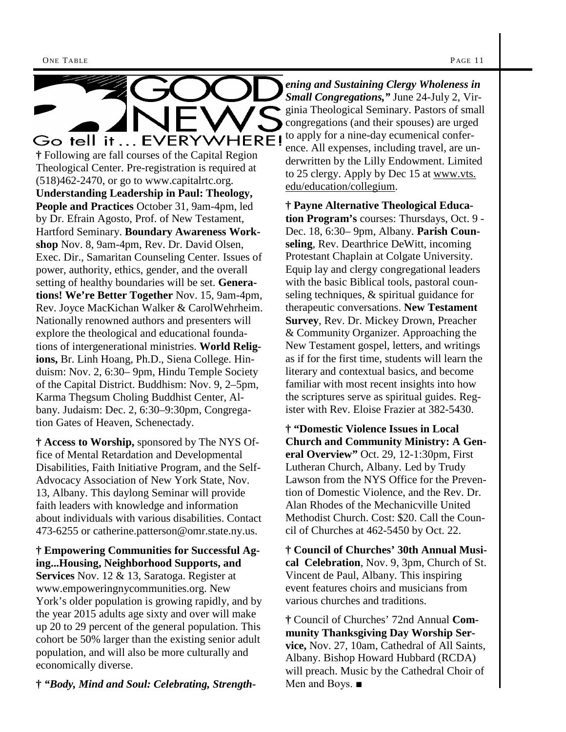

Theological Center. Pre-registration is required at  $(518)462-2470$ , or go to www.capitalrtc.org. **Understanding Leadership in Paul: Theology, People and Practices** October 31, 9am-4pm, led by Dr. Efrain Agosto, Prof. of New Testament, Hartford Seminary. **Boundary Awareness Workshop** Nov. 8, 9am-4pm, Rev. Dr. David Olsen, Exec. Dir., Samaritan Counseling Center. Issues of power, authority, ethics, gender, and the overall setting of healthy boundaries will be set. **Generations! We're Better Together** Nov. 15, 9am-4pm, Rev. Joyce MacKichan Walker & CarolWehrheim. Nationally renowned authors and presenters will explore the theological and educational foundations of intergenerational ministries. **World Religions,** Br. Linh Hoang, Ph.D., Siena College. Hinduism: Nov. 2, 6:30– 9pm, Hindu Temple Society of the Capital District. Buddhism: Nov. 9, 2–5pm, Karma Thegsum Choling Buddhist Center, Albany. Judaism: Dec. 2, 6:30–9:30pm, Congregation Gates of Heaven, Schenectady.

**† Access to Worship,** sponsored by The NYS Office of Mental Retardation and Developmental Disabilities, Faith Initiative Program, and the Self-Advocacy Association of New York State, Nov. 13, Albany. This daylong Seminar will provide faith leaders with knowledge and information about individuals with various disabilities. Contact 473-6255 or catherine.patterson@omr.state.ny.us.

**† Empowering Communities for Successful Aging...Housing, Neighborhood Supports, and Services** Nov. 12 & 13, Saratoga. Register at www.empoweringnycommunities.org. New York's older population is growing rapidly, and by the year 2015 adults age sixty and over will make up 20 to 29 percent of the general population. This cohort be 50% larger than the existing senior adult population, and will also be more culturally and economically diverse.

**†** *"Body, Mind and Soul: Celebrating, Strength-*

*ening and Sustaining Clergy Wholeness in Small Congregations,"* June 24-July 2, Virginia Theological Seminary. Pastors of small congregations (and their spouses) are urged to apply for a nine-day ecumenical conference. All expenses, including travel, are underwritten by the Lilly Endowment. Limited to 25 clergy. Apply by Dec 15 at www.vts. edu/education/collegium.

**† Payne Alternative Theological Education Program's** courses: Thursdays, Oct. 9 - Dec. 18, 6:30– 9pm, Albany. **Parish Counseling**, Rev. Dearthrice DeWitt, incoming Protestant Chaplain at Colgate University. Equip lay and clergy congregational leaders with the basic Biblical tools, pastoral counseling techniques, & spiritual guidance for therapeutic conversations. **New Testament Survey**, Rev. Dr. Mickey Drown, Preacher & Community Organizer. Approaching the New Testament gospel, letters, and writings as if for the first time, students will learn the literary and contextual basics, and become familiar with most recent insights into how the scriptures serve as spiritual guides. Register with Rev. Eloise Frazier at 382-5430.

**† "Domestic Violence Issues in Local Church and Community Ministry: A General Overview"** Oct. 29, 12-1:30pm, First Lutheran Church, Albany. Led by Trudy Lawson from the NYS Office for the Prevention of Domestic Violence, and the Rev. Dr. Alan Rhodes of the Mechanicville United Methodist Church. Cost: \$20. Call the Council of Churches at 462-5450 by Oct. 22.

**† Council of Churches' 30th Annual Musical Celebration**, Nov. 9, 3pm, Church of St. Vincent de Paul, Albany. This inspiring event features choirs and musicians from various churches and traditions.

**†** Council of Churches' 72nd Annual **Community Thanksgiving Day Worship Service,** Nov. 27, 10am, Cathedral of All Saints, Albany. Bishop Howard Hubbard (RCDA) will preach. Music by the Cathedral Choir of Men and Boys. ■